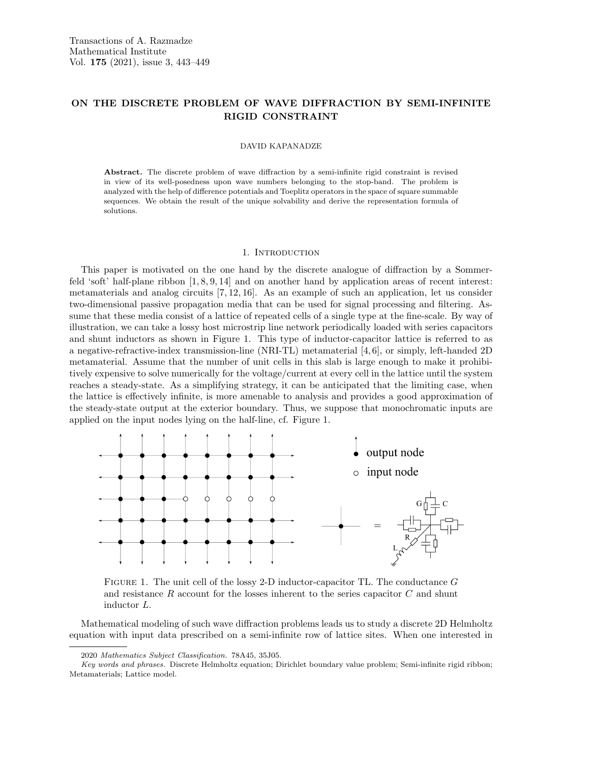# ON THE DISCRETE PROBLEM OF WAVE DIFFRACTION BY SEMI-INFINITE RIGID CONSTRAINT

#### DAVID KAPANADZE

Abstract. The discrete problem of wave diffraction by a semi-infinite rigid constraint is revised in view of its well-posedness upon wave numbers belonging to the stop-band. The problem is analyzed with the help of difference potentials and Toeplitz operators in the space of square summable sequences. We obtain the result of the unique solvability and derive the representation formula of solutions.

### 1. INTRODUCTION

This paper is motivated on the one hand by the discrete analogue of diffraction by a Sommerfeld 'soft' half-plane ribbon [1, 8, 9, 14] and on another hand by application areas of recent interest: metamaterials and analog circuits [7, 12, 16]. As an example of such an application, let us consider two-dimensional passive propagation media that can be used for signal processing and filtering. Assume that these media consist of a lattice of repeated cells of a single type at the fine-scale. By way of illustration, we can take a lossy host microstrip line network periodically loaded with series capacitors and shunt inductors as shown in Figure 1. This type of inductor-capacitor lattice is referred to as a negative-refractive-index transmission-line (NRI-TL) metamaterial [4, 6], or simply, left-handed 2D metamaterial. Assume that the number of unit cells in this slab is large enough to make it prohibitively expensive to solve numerically for the voltage/current at every cell in the lattice until the system reaches a steady-state. As a simplifying strategy, it can be anticipated that the limiting case, when the lattice is effectively infinite, is more amenable to analysis and provides a good approximation of the steady-state output at the exterior boundary. Thus, we suppose that monochromatic inputs are applied on the input nodes lying on the half-line, cf. Figure 1.



FIGURE 1. The unit cell of the lossy 2-D inductor-capacitor TL. The conductance  $G$ and resistance  $R$  account for the losses inherent to the series capacitor  $C$  and shunt inductor L.

Mathematical modeling of such wave diffraction problems leads us to study a discrete 2D Helmholtz equation with input data prescribed on a semi-infinite row of lattice sites. When one interested in

<sup>2020</sup> Mathematics Subject Classification. 78A45, 35J05.

Key words and phrases. Discrete Helmholtz equation; Dirichlet boundary value problem; Semi-infinite rigid ribbon; Metamaterials; Lattice model.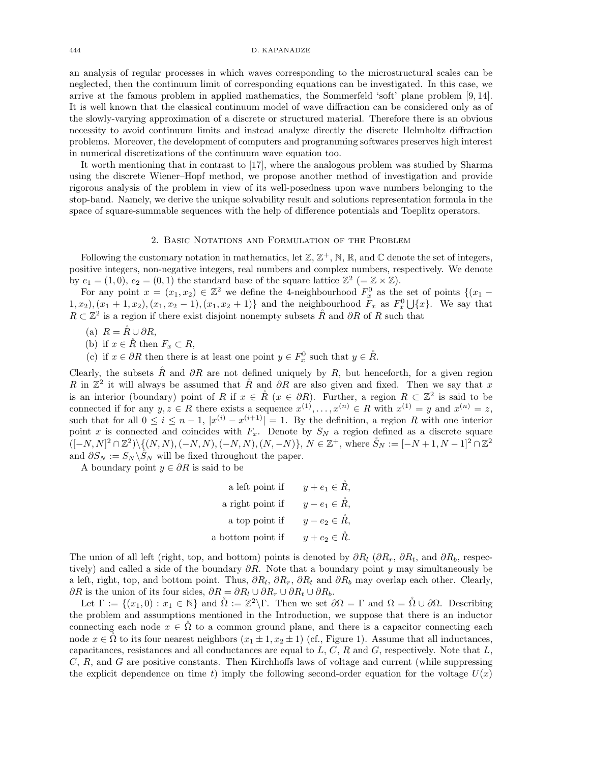#### 444 D. KAPANADZE

an analysis of regular processes in which waves corresponding to the microstructural scales can be neglected, then the continuum limit of corresponding equations can be investigated. In this case, we arrive at the famous problem in applied mathematics, the Sommerfeld 'soft' plane problem [9, 14]. It is well known that the classical continuum model of wave diffraction can be considered only as of the slowly-varying approximation of a discrete or structured material. Therefore there is an obvious necessity to avoid continuum limits and instead analyze directly the discrete Helmholtz diffraction problems. Moreover, the development of computers and programming softwares preserves high interest in numerical discretizations of the continuum wave equation too.

It worth mentioning that in contrast to [17], where the analogous problem was studied by Sharma using the discrete Wiener–Hopf method, we propose another method of investigation and provide rigorous analysis of the problem in view of its well-posedness upon wave numbers belonging to the stop-band. Namely, we derive the unique solvability result and solutions representation formula in the space of square-summable sequences with the help of difference potentials and Toeplitz operators.

## 2. Basic Notations and Formulation of the Problem

Following the customary notation in mathematics, let  $\mathbb{Z}, \mathbb{Z}^+$ , N, R, and C denote the set of integers, positive integers, non-negative integers, real numbers and complex numbers, respectively. We denote by  $e_1 = (1,0), e_2 = (0,1)$  the standard base of the square lattice  $\mathbb{Z}^2$  (=  $\mathbb{Z} \times \mathbb{Z}$ ).

For any point  $x = (x_1, x_2) \in \mathbb{Z}^2$  we define the 4-neighbourhood  $F_x^0$  as the set of points  $\{(x_1 (1, x_2), (x_1 + 1, x_2), (x_1, x_2 - 1), (x_1, x_2 + 1) \}$  and the neighbourhood  $F_x$  as  $F_x^0 \cup \{x\}$ . We say that  $R \subset \mathbb{Z}^2$  is a region if there exist disjoint nonempty subsets  $\mathring{R}$  and  $\partial R$  of R such that

(a)  $R = \check{R} \cup \partial R$ ,

(b) if  $x \in \mathring{R}$  then  $F_x \subset R$ ,

(c) if  $x \in \partial R$  then there is at least one point  $y \in F_x^0$  such that  $y \in \mathring{R}$ .

Clearly, the subsets  $\tilde{R}$  and  $\partial R$  are not defined uniquely by R, but henceforth, for a given region R in  $\mathbb{Z}^2$  it will always be assumed that  $\mathring{R}$  and  $\partial R$  are also given and fixed. Then we say that x is an interior (boundary) point of R if  $x \in \mathring{R}$   $(x \in \partial R)$ . Further, a region  $R \subset \mathbb{Z}^2$  is said to be connected if for any  $y, z \in R$  there exists a sequence  $x^{(1)}, \ldots, x^{(n)} \in R$  with  $x^{(1)} = y$  and  $x^{(n)} = z$ , such that for all  $0 \leq i \leq n-1$ ,  $|x^{(i)} - x^{(i+1)}| = 1$ . By the definition, a region R with one interior point x is connected and coincides with  $F_x$ . Denote by  $S_N$  a region defined as a discrete square  $([-N, N]^2 \cap \mathbb{Z}^2) \setminus \{(N, N), (-N, N), (-N, N), (N, -N)\}, N \in \mathbb{Z}^+,$  where  $\mathring{S}_N := [-N + 1, N - 1]^2 \cap \mathbb{Z}^2$ and  $\partial S_N := S_N \backslash \check{S}_N$  will be fixed throughout the paper.

A boundary point  $y \in \partial R$  is said to be

| a left point if   | $y + e_1 \in \mathring{R}$ , |
|-------------------|------------------------------|
| a right point if  | $y-e_1\in \check{R}$ ,       |
| a top point if    | $y - e_2 \in \check{R}$ ,    |
| a bottom point if | $y+e_2 \in \check{R}$ .      |

The union of all left (right, top, and bottom) points is denoted by  $\partial R_l$  ( $\partial R_r$ ,  $\partial R_t$ , and  $\partial R_b$ , respectively) and called a side of the boundary  $\partial R$ . Note that a boundary point y may simultaneously be a left, right, top, and bottom point. Thus,  $\partial R_l$ ,  $\partial R_r$ ,  $\partial R_t$  and  $\partial R_b$  may overlap each other. Clearly, ∂R is the union of its four sides,  $\partial R = \partial R_l \cup \partial R_r \cup \partial R_t \cup \partial R_b$ .

Let  $\Gamma := \{(x_1, 0) : x_1 \in \mathbb{N}\}\$ and  $\mathring{\Omega} := \mathbb{Z}^2 \backslash \Gamma$ . Then we set  $\partial \Omega = \Gamma$  and  $\Omega = \mathring{\Omega} \cup \partial \Omega$ . Describing the problem and assumptions mentioned in the Introduction, we suppose that there is an inductor connecting each node  $x \in \Omega$  to a common ground plane, and there is a capacitor connecting each node  $x \in \Omega$  to its four nearest neighbors  $(x_1 \pm 1, x_2 \pm 1)$  (cf., Figure 1). Assume that all inductances, capacitances, resistances and all conductances are equal to  $L, C, R$  and  $G$ , respectively. Note that  $L$ ,  $C, R$ , and  $G$  are positive constants. Then Kirchhoffs laws of voltage and current (while suppressing the explicit dependence on time t) imply the following second-order equation for the voltage  $U(x)$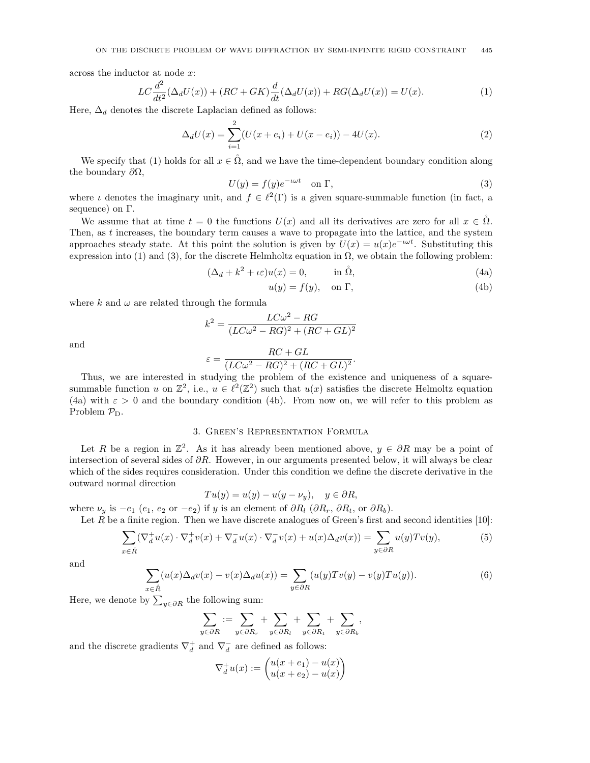across the inductor at node x:

$$
LC\frac{d^2}{dt^2}(\Delta_d U(x)) + (RC + GK)\frac{d}{dt}(\Delta_d U(x)) + RG(\Delta_d U(x)) = U(x). \tag{1}
$$

Here,  $\Delta_d$  denotes the discrete Laplacian defined as follows:

$$
\Delta_d U(x) = \sum_{i=1}^{2} (U(x + e_i) + U(x - e_i)) - 4U(x).
$$
 (2)

We specify that (1) holds for all  $x \in \mathring{\Omega}$ , and we have the time-dependent boundary condition along the boundary  $\partial\Omega$ ,

$$
U(y) = f(y)e^{-i\omega t} \quad \text{on } \Gamma,
$$
\n(3)

where  $\iota$  denotes the imaginary unit, and  $f \in \ell^2(\Gamma)$  is a given square-summable function (in fact, a sequence) on Γ.

We assume that at time  $t = 0$  the functions  $U(x)$  and all its derivatives are zero for all  $x \in \Omega$ . Then, as  $t$  increases, the boundary term causes a wave to propagate into the lattice, and the system approaches steady state. At this point the solution is given by  $U(x) = u(x)e^{-i\omega t}$ . Substituting this expression into (1) and (3), for the discrete Helmholtz equation in  $\Omega$ , we obtain the following problem:

$$
(\Delta_d + k^2 + \iota \varepsilon)u(x) = 0, \qquad \text{in } \mathring{\Omega}, \tag{4a}
$$

$$
u(y) = f(y), \quad \text{on } \Gamma,\tag{4b}
$$

where k and  $\omega$  are related through the formula

 $\varepsilon$ 

$$
k^2 = \frac{LC\omega^2 - RG}{(LC\omega^2 - RG)^2 + (RC + GL)^2}
$$

and

$$
= \frac{RC + GL}{(LC\omega^2 - RG)^2 + (RC + GL)^2}.
$$

Thus, we are interested in studying the problem of the existence and uniqueness of a squaresummable function u on  $\mathbb{Z}^2$ , i.e.,  $u \in \ell^2(\mathbb{Z}^2)$  such that  $u(x)$  satisfies the discrete Helmoltz equation (4a) with  $\varepsilon > 0$  and the boundary condition (4b). From now on, we will refer to this problem as Problem  $P_D$ .

### 3. Green's Representation Formula

Let R be a region in  $\mathbb{Z}^2$ . As it has already been mentioned above,  $y \in \partial R$  may be a point of intersection of several sides of ∂R. However, in our arguments presented below, it will always be clear which of the sides requires consideration. Under this condition we define the discrete derivative in the outward normal direction

$$
Tu(y) = u(y) - u(y - \nu_y), \quad y \in \partial R,
$$

where  $\nu_y$  is  $-e_1$  (e<sub>1</sub>, e<sub>2</sub> or  $-e_2$ ) if y is an element of  $\partial R_l$  ( $\partial R_r$ ,  $\partial R_t$ , or  $\partial R_b$ ).

Let  $R$  be a finite region. Then we have discrete analogues of Green's first and second identities [10]:

$$
\sum_{x \in \mathring{R}} (\nabla_d^+ u(x) \cdot \nabla_d^+ v(x) + \nabla_d^- u(x) \cdot \nabla_d^- v(x) + u(x) \Delta_d v(x)) = \sum_{y \in \partial R} u(y) T v(y),\tag{5}
$$

and

$$
\sum_{x \in \mathring{R}} (u(x)\Delta_d v(x) - v(x)\Delta_d u(x)) = \sum_{y \in \partial R} (u(y)Tv(y) - v(y)Tu(y)).
$$
\n(6)

Here, we denote by  $\sum_{y \in \partial R}$  the following sum:

$$
\sum_{y \in \partial R} := \sum_{y \in \partial R_r} + \sum_{y \in \partial R_l} + \sum_{y \in \partial R_t} + \sum_{y \in \partial R_b},
$$

and the discrete gradients  $\nabla_d^+$  and  $\nabla_d^-$  are defined as follows:

$$
\nabla_d^+ u(x) := \begin{pmatrix} u(x+e_1) - u(x) \\ u(x+e_2) - u(x) \end{pmatrix}
$$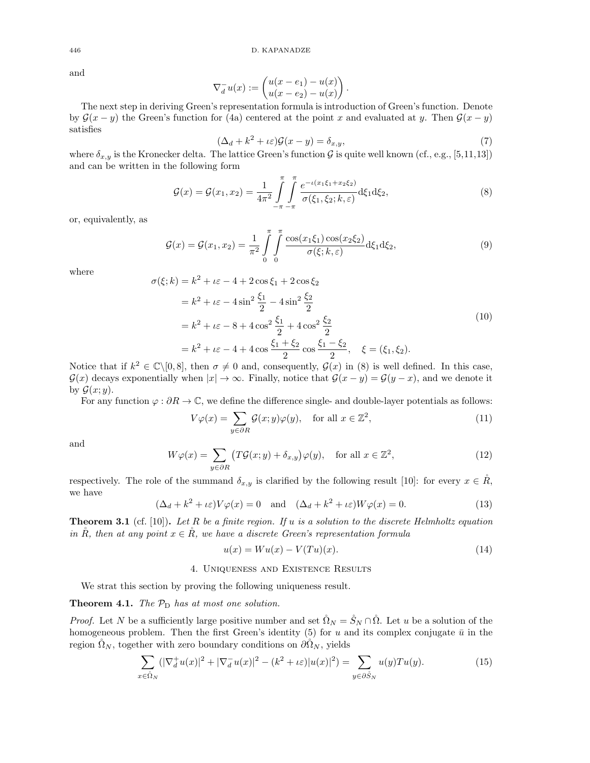and

$$
\nabla_d^- u(x) := \begin{pmatrix} u(x-e_1) - u(x) \\ u(x-e_2) - u(x) \end{pmatrix}.
$$

The next step in deriving Green's representation formula is introduction of Green's function. Denote by  $\mathcal{G}(x - y)$  the Green's function for (4a) centered at the point x and evaluated at y. Then  $\mathcal{G}(x - y)$ satisfies

$$
(\Delta_d + k^2 + \iota \varepsilon) \mathcal{G}(x - y) = \delta_{x, y},\tag{7}
$$

where  $\delta_{x,y}$  is the Kronecker delta. The lattice Green's function  $\mathcal G$  is quite well known (cf., e.g., [5,11,13]) and can be written in the following form

$$
\mathcal{G}(x) = \mathcal{G}(x_1, x_2) = \frac{1}{4\pi^2} \int_{-\pi}^{\pi} \int_{-\pi}^{\pi} \frac{e^{-\iota(x_1\xi_1 + x_2\xi_2)}}{\sigma(\xi_1, \xi_2; k, \varepsilon)} d\xi_1 d\xi_2, \tag{8}
$$

or, equivalently, as

$$
\mathcal{G}(x) = \mathcal{G}(x_1, x_2) = \frac{1}{\pi^2} \int_{0}^{\pi} \int_{0}^{\pi} \frac{\cos(x_1 \xi_1) \cos(x_2 \xi_2)}{\sigma(\xi; k, \varepsilon)} d\xi_1 d\xi_2, \tag{9}
$$

where

$$
\sigma(\xi; k) = k^2 + \iota \varepsilon - 4 + 2 \cos \xi_1 + 2 \cos \xi_2 \n= k^2 + \iota \varepsilon - 4 \sin^2 \frac{\xi_1}{2} - 4 \sin^2 \frac{\xi_2}{2} \n= k^2 + \iota \varepsilon - 8 + 4 \cos^2 \frac{\xi_1}{2} + 4 \cos^2 \frac{\xi_2}{2} \n= k^2 + \iota \varepsilon - 4 + 4 \cos \frac{\xi_1 + \xi_2}{2} \cos \frac{\xi_1 - \xi_2}{2}, \quad \xi = (\xi_1, \xi_2).
$$
\n(10)

Notice that if  $k^2 \in \mathbb{C} \setminus [0, 8]$ , then  $\sigma \neq 0$  and, consequently,  $\mathcal{G}(x)$  in (8) is well defined. In this case,  $\mathcal{G}(x)$  decays exponentially when  $|x| \to \infty$ . Finally, notice that  $\mathcal{G}(x - y) = \mathcal{G}(y - x)$ , and we denote it by  $\mathcal{G}(x; y)$ .

For any function  $\varphi : \partial R \to \mathbb{C}$ , we define the difference single- and double-layer potentials as follows:

$$
V\varphi(x) = \sum_{y \in \partial R} \mathcal{G}(x; y)\varphi(y), \quad \text{for all } x \in \mathbb{Z}^2,
$$
\n(11)

and

$$
W\varphi(x) = \sum_{y \in \partial R} \left( T\mathcal{G}(x; y) + \delta_{x, y} \right) \varphi(y), \quad \text{for all } x \in \mathbb{Z}^2,
$$
 (12)

respectively. The role of the summand  $\delta_{x,y}$  is clarified by the following result [10]: for every  $x \in \mathring{R}$ , we have

$$
(\Delta_d + k^2 + \iota \varepsilon)V\varphi(x) = 0 \quad \text{and} \quad (\Delta_d + k^2 + \iota \varepsilon)W\varphi(x) = 0. \tag{13}
$$

**Theorem 3.1** (cf. [10]). Let R be a finite region. If u is a solution to the discrete Helmholtz equation in  $\check{R}$ , then at any point  $x \in \check{R}$ , we have a discrete Green's representation formula

$$
u(x) = Wu(x) - V(Tu)(x). \tag{14}
$$

#### 4. Uniqueness and Existence Results

We strat this section by proving the following uniqueness result.

# **Theorem 4.1.** The  $\mathcal{P}_{\text{D}}$  has at most one solution.

*Proof.* Let N be a sufficiently large positive number and set  $\hat{\Omega}_N = \hat{S}_N \cap \hat{\Omega}$ . Let u be a solution of the homogeneous problem. Then the first Green's identity (5) for u and its complex conjugate  $\bar{u}$  in the region  $\hat{\Omega}_N$ , together with zero boundary conditions on  $\partial \hat{\Omega}_N$ , yields

$$
\sum_{x \in \hat{\Omega}_N} (|\nabla_d^+ u(x)|^2 + |\nabla_d^- u(x)|^2 - (k^2 + \iota \varepsilon) |u(x)|^2) = \sum_{y \in \partial \hat{S}_N} u(y) T u(y). \tag{15}
$$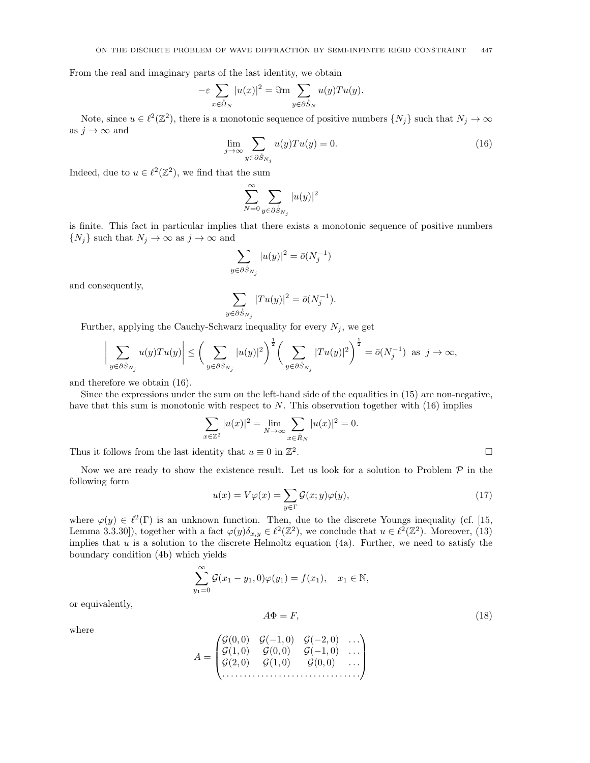From the real and imaginary parts of the last identity, we obtain

$$
-\varepsilon \sum_{x \in \mathring{\Omega}_N} |u(x)|^2 = \Im \max_{y \in \partial \mathring{S}_N} u(y) T u(y).
$$

Note, since  $u \in \ell^2(\mathbb{Z}^2)$ , there is a monotonic sequence of positive numbers  $\{N_j\}$  such that  $N_j \to \infty$ as  $j \to \infty$  and

$$
\lim_{j \to \infty} \sum_{y \in \partial \hat{S}_{N_j}} u(y) T u(y) = 0.
$$
\n(16)

Indeed, due to  $u \in \ell^2(\mathbb{Z}^2)$ , we find that the sum

$$
\sum_{N=0}^{\infty} \sum_{y \in \partial \mathring{S}_{N_j}} |u(y)|^2
$$

is finite. This fact in particular implies that there exists a monotonic sequence of positive numbers  $\{N_j\}$  such that  $N_j \to \infty$  as  $j \to \infty$  and

$$
\sum_{y\in \partial \mathring{S}_{N_j}} |u(y)|^2 = \bar{o}(N_j^{-1})
$$

and consequently,

$$
\sum_{y \in \partial \hat{S}_{N_j}} |Tu(y)|^2 = \bar{o}(N_j^{-1}).
$$

Further, applying the Cauchy-Schwarz inequality for every  $N_j$ , we get

$$
\bigg|\sum_{y\in\partial \tilde{S}_{N_j}}u(y)Tu(y)\bigg|\leq \bigg(\sum_{y\in\partial \tilde{S}_{N_j}}|u(y)|^2\bigg)^{\frac{1}{2}}\bigg(\sum_{y\in\partial \tilde{S}_{N_j}}|Tu(y)|^2\bigg)^{\frac{1}{2}}=\bar{o}(N_j^{-1})\ \ \text{as}\ \ j\to\infty,
$$

and therefore we obtain (16).

Since the expressions under the sum on the left-hand side of the equalities in (15) are non-negative, have that this sum is monotonic with respect to  $N$ . This observation together with  $(16)$  implies

$$
\sum_{x \in \mathbb{Z}^2} |u(x)|^2 = \lim_{N \to \infty} \sum_{x \in \mathring{R}_N} |u(x)|^2 = 0.
$$

Thus it follows from the last identity that  $u \equiv 0$  in  $\mathbb{Z}^2$ .

Now we are ready to show the existence result. Let us look for a solution to Problem  $P$  in the following form

$$
u(x) = V\varphi(x) = \sum_{y \in \Gamma} \mathcal{G}(x; y)\varphi(y),\tag{17}
$$

where  $\varphi(y) \in \ell^2(\Gamma)$  is an unknown function. Then, due to the discrete Youngs inequality (cf. [15, Lemma 3.3.30]), together with a fact  $\varphi(y)\delta_{x,y} \in \ell^2(\mathbb{Z}^2)$ , we conclude that  $u \in \ell^2(\mathbb{Z}^2)$ . Moreover, (13) implies that  $u$  is a solution to the discrete Helmoltz equation (4a). Further, we need to satisfy the boundary condition (4b) which yields

$$
\sum_{y_1=0}^{\infty} \mathcal{G}(x_1 - y_1, 0)\varphi(y_1) = f(x_1), \quad x_1 \in \mathbb{N},
$$

 $A\Phi = F,$  (18)

or equivalently,

where

$$
A = \begin{pmatrix} \mathcal{G}(0,0) & \mathcal{G}(-1,0) & \mathcal{G}(-2,0) & \dots \\ \mathcal{G}(1,0) & \mathcal{G}(0,0) & \mathcal{G}(-1,0) & \dots \\ \mathcal{G}(2,0) & \mathcal{G}(1,0) & \mathcal{G}(0,0) & \dots \\ \dots & \dots & \dots & \dots & \dots \end{pmatrix}
$$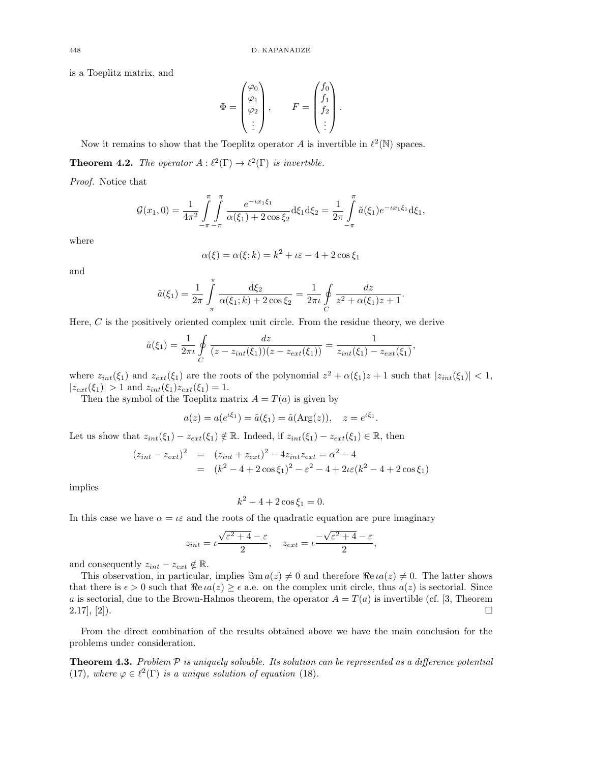is a Toeplitz matrix, and

$$
\Phi = \begin{pmatrix} \varphi_0 \\ \varphi_1 \\ \varphi_2 \\ \vdots \end{pmatrix}, \qquad F = \begin{pmatrix} f_0 \\ f_1 \\ f_2 \\ \vdots \end{pmatrix}.
$$

Now it remains to show that the Toeplitz operator A is invertible in  $\ell^2(\mathbb{N})$  spaces. **Theorem 4.2.** The operator  $A : \ell^2(\Gamma) \to \ell^2(\Gamma)$  is invertible.

Proof. Notice that

$$
\mathcal{G}(x_1,0) = \frac{1}{4\pi^2} \int_{-\pi}^{\pi} \int_{-\pi}^{\pi} \frac{e^{-ix_1\xi_1}}{\alpha(\xi_1) + 2\cos\xi_2} d\xi_1 d\xi_2 = \frac{1}{2\pi} \int_{-\pi}^{\pi} \tilde{a}(\xi_1) e^{-ix_1\xi_1} d\xi_1,
$$

where

$$
\alpha(\xi) = \alpha(\xi; k) = k^2 + \iota \varepsilon - 4 + 2\cos \xi_1
$$

and

$$
\tilde{a}(\xi_1) = \frac{1}{2\pi} \int_{-\pi}^{\pi} \frac{d\xi_2}{\alpha(\xi_1; k) + 2\cos\xi_2} = \frac{1}{2\pi i} \oint_{C} \frac{dz}{z^2 + \alpha(\xi_1)z + 1}.
$$

Here,  $C$  is the positively oriented complex unit circle. From the residue theory, we derive

$$
\tilde{a}(\xi_1) = \frac{1}{2\pi \iota} \oint_C \frac{dz}{(z - z_{int}(\xi_1))(z - z_{ext}(\xi_1))} = \frac{1}{z_{int}(\xi_1) - z_{ext}(\xi_1)},
$$

where  $z_{int}(\xi_1)$  and  $z_{ext}(\xi_1)$  are the roots of the polynomial  $z^2 + \alpha(\xi_1)z + 1$  such that  $|z_{int}(\xi_1)| < 1$ ,  $|z_{ext}(\xi_1)| > 1$  and  $z_{int}(\xi_1)z_{ext}(\xi_1) = 1$ .

Then the symbol of the Toeplitz matrix  $A = T(a)$  is given by

$$
a(z) = a(e^{i\xi_1}) = \tilde{a}(\xi_1) = \tilde{a}(\text{Arg}(z)), \quad z = e^{i\xi_1}.
$$

Let us show that  $z_{int}(\xi_1) - z_{ext}(\xi_1) \notin \mathbb{R}$ . Indeed, if  $z_{int}(\xi_1) - z_{ext}(\xi_1) \in \mathbb{R}$ , then

$$
(z_{int} - z_{ext})^2 = (z_{int} + z_{ext})^2 - 4z_{int}z_{ext} = \alpha^2 - 4
$$
  
=  $(k^2 - 4 + 2\cos\xi_1)^2 - \varepsilon^2 - 4 + 2\iota\varepsilon(k^2 - 4 + 2\cos\xi_1)$ 

implies

$$
k^2 - 4 + 2\cos \xi_1 = 0.
$$

In this case we have  $\alpha = \iota \varepsilon$  and the roots of the quadratic equation are pure imaginary

$$
z_{int} = \iota \frac{\sqrt{\varepsilon^2 + 4} - \varepsilon}{2}, \quad z_{ext} = \iota \frac{-\sqrt{\varepsilon^2 + 4} - \varepsilon}{2},
$$

and consequently  $z_{int} - z_{ext} \notin \mathbb{R}$ .

This observation, in particular, implies  $\Im$ m  $a(z) \neq 0$  and therefore  $\Re$ e  $ia(z) \neq 0$ . The latter shows that there is  $\epsilon > 0$  such that  $\Re \epsilon \alpha(z) \geq \epsilon$  a.e. on the complex unit circle, thus  $\alpha(z)$  is sectorial. Since a is sectorial, due to the Brown-Halmos theorem, the operator  $A = T(a)$  is invertible (cf. [3, Theorem  $2.17$ ,  $[2]$ .

From the direct combination of the results obtained above we have the main conclusion for the problems under consideration.

**Theorem 4.3.** Problem  $\mathcal P$  is uniquely solvable. Its solution can be represented as a difference potential (17), where  $\varphi \in \ell^2(\Gamma)$  is a unique solution of equation (18).